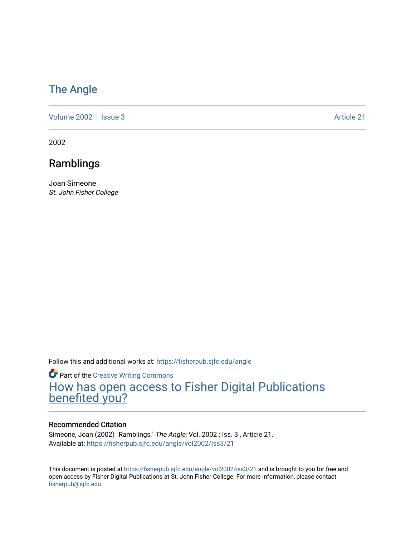## [The Angle](https://fisherpub.sjfc.edu/angle)

[Volume 2002](https://fisherpub.sjfc.edu/angle/vol2002) | [Issue 3](https://fisherpub.sjfc.edu/angle/vol2002/iss3) Article 21

2002

## Ramblings

Joan Simeone St. John Fisher College

Follow this and additional works at: [https://fisherpub.sjfc.edu/angle](https://fisherpub.sjfc.edu/angle?utm_source=fisherpub.sjfc.edu%2Fangle%2Fvol2002%2Fiss3%2F21&utm_medium=PDF&utm_campaign=PDFCoverPages)

**Part of the Creative Writing Commons** [How has open access to Fisher Digital Publications](https://docs.google.com/forms/d/14zrnDfH9d1wcdq8oG_-gFabAsxfcH5claltx85ZWyTg/viewform?entry.1394608989=https://fisherpub.sjfc.edu/angle/vol2002/iss3/21%3Chttps://docs.google.com/forms/d/14zrnDfH9d1wcdq8oG_-gFabAsxfcH5claltx85ZWyTg/viewform?entry.1394608989=%7bhttps://fisherpub.sjfc.edu/angle/vol2002/iss3/21%7d) [benefited you?](https://docs.google.com/forms/d/14zrnDfH9d1wcdq8oG_-gFabAsxfcH5claltx85ZWyTg/viewform?entry.1394608989=https://fisherpub.sjfc.edu/angle/vol2002/iss3/21%3Chttps://docs.google.com/forms/d/14zrnDfH9d1wcdq8oG_-gFabAsxfcH5claltx85ZWyTg/viewform?entry.1394608989=%7bhttps://fisherpub.sjfc.edu/angle/vol2002/iss3/21%7d)

#### Recommended Citation

Simeone, Joan (2002) "Ramblings," The Angle: Vol. 2002 : Iss. 3 , Article 21. Available at: [https://fisherpub.sjfc.edu/angle/vol2002/iss3/21](https://fisherpub.sjfc.edu/angle/vol2002/iss3/21?utm_source=fisherpub.sjfc.edu%2Fangle%2Fvol2002%2Fiss3%2F21&utm_medium=PDF&utm_campaign=PDFCoverPages) 

This document is posted at <https://fisherpub.sjfc.edu/angle/vol2002/iss3/21> and is brought to you for free and open access by Fisher Digital Publications at St. John Fisher College. For more information, please contact [fisherpub@sjfc.edu](mailto:fisherpub@sjfc.edu).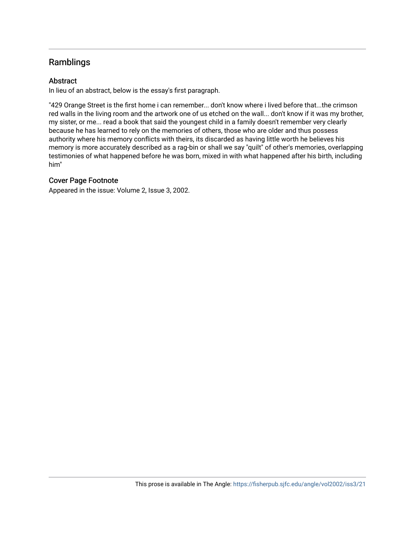### Ramblings

#### **Abstract**

In lieu of an abstract, below is the essay's first paragraph.

"429 Orange Street is the first home i can remember... don't know where i lived before that...the crimson red walls in the living room and the artwork one of us etched on the wall... don't know if it was my brother, my sister, or me... read a book that said the youngest child in a family doesn't remember very clearly because he has learned to rely on the memories of others, those who are older and thus possess authority where his memory conflicts with theirs, its discarded as having little worth he believes his memory is more accurately described as a rag-bin or shall we say "quilt" of other's memories, overlapping testimonies of what happened before he was born, mixed in with what happened after his birth, including him"

#### Cover Page Footnote

Appeared in the issue: Volume 2, Issue 3, 2002.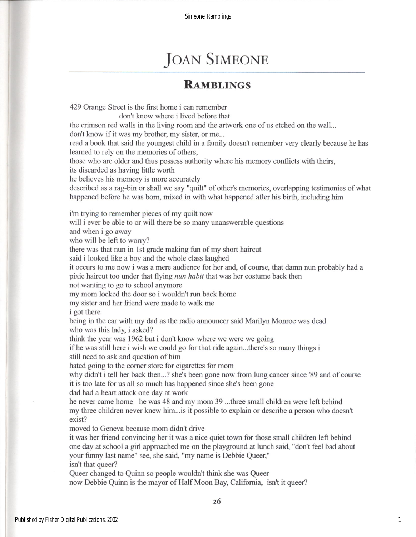# **JOAN SIMEONE**

## RAMBLINGS

429 Orange Street is the first home i can remember

don't know where i lived before that

the crimson red walls in the living room and the artwork one of us etched on the wall...

don't know if it was my brother, my sister, or me...

read a book that said the youngest child in a family doesn't remember very clearly because he has leamed to rely on the memories of others,

those who are older and thus possess authority where his memory conflicts with theirs,

its discarded as having litlle worth

he believes his memory is more accurately

described as a rag-bin or shall we say "quilt" of other's memories, overlapping testimonies of what happened before he was born, mixed in with what happened after his birth, including him

i'm trying to remember pieces of my quilt now

will i ever be able to or will there be so many unanswerable questions

and when i go away

who will be left to worry?

there was that nun in 1st grade making fun of my short haircut

said i looked likc a boy and the whole class laughed

it occurs to me now i was a mere audience for her and, of course, that damn nun probably had a pixie haircut too under that flying nun habit that was her costume back then

not wanting to go to school anymore

my mom locked the door so i wouldn't run back home

my sister and her fiiend were made to walk me

i got there

t-

being in the car with my dad as the radio announcer said Marilyn Monroe was dead who was this lady, i asked?

think the year was 1962 but i don't know where we were we going

if he was still here i wish we could go for that ride again...there's so many things i

still need to ask and question of him

hated going to the corner store for cigarettes for mom

why didn't i tell her back then...? she's been gone now from lung cancer since '89 and of course it is too late for us all so much has happened since she's been gone

dad had a heart attack one day at work

he never came home he was 48 and my mom 39 ...three small children were left behind my three children never knew him...is it possible to explain or describe a person who doesn't exist?

moved to Geneva because mom didn't drive

it was her ffiend convincing her it was a nice quiet town for those small children left behind one day at school a girl approached me on the playground at lunch said, "don't feel bad about your funny last name" see, she said, "my name is Debbie Queer,"

isn't that queer?

Queer changed to Quinn so people wouldn't think she was Queer now Debbie Quinn is the mayor of Half Moon Bay, Califomia, isn't it queer?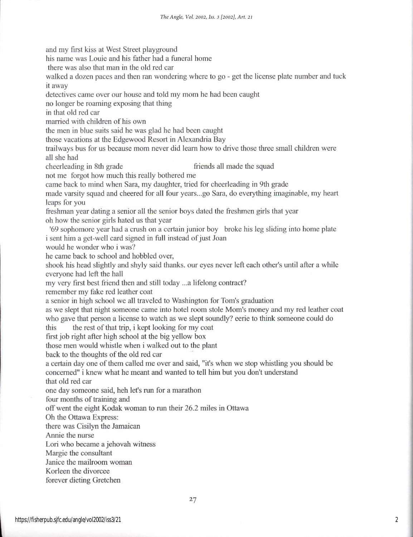and my first kiss at West Street playground

his name was Louie and his father had a funeral home

there was also that man in the old red car

walked a dozen paces and then ran wondering where to go - get the license plate number and tuck it away

detectives came over our house and told my mom he had been caught

no longer be roaming exposing that thing

in that old red car

married with children of his own

the men in blue suits said he was glad he had been caught

those vacations at the Edgewood Resort in Alexandria Bay

trailways bus for us because mom never did leam how to drive those three small children were all she had

cheerleading in 8th grade friends all made the squad

not me forgot how much this really bothered me

came back to mind when Sara, my daughter, tried for cheerleading in 9th grade

made varsity squad and cheered for all four years...go Sara, do everything imaginable, my heart leaps for you

freshman year dating a senior all the senior boys dated the freshrnen girls that year oh how the senior girls hated us that year

'69 sophomore year had a crush on a certain junior boy broke his leg sliding into home plate i sent him a get-well card signed in full instead of just Joan

would he wonder who i was?

he came back to school and hobbled over,

shook his head slightly and shyly said thanks. our eyes never left each other's until after a while everyone had left the hall

my very first best fiiend then and still today ...a lifelong contract?

remember my fake red leather coat

a senior in high school we all traveled to Washington for Tom's graduation

as we slept that night someone came into hotel room stole Mom's money and my red leather coat who gave that person a license to watch as we slept soundly? eerie to think someone could do

this the rest of that trip, i kept looking for my coat

first job right after high school at the big yellow box

those men would whistle when i walked out to the plant

back to the thoughts of the old red car

a certain day one of them called me over and said, "it's when we stop whistling you should be concemed" i knew what he meant and wanted to tell him but you don't understand that old red car

one day someone said, heh let's run for a marathon

four months of training and

offwent the eight Kodak woman to run their 26.2 miles in Ottawa

Oh the Ottawa Express:

there was Cisilyn the Jamaican

Annie the nurse

Lori who became a jehovah witness

Margie the consultant

Janice the mailroom woman

Korleen the divorcee

forever dieting Gretchen